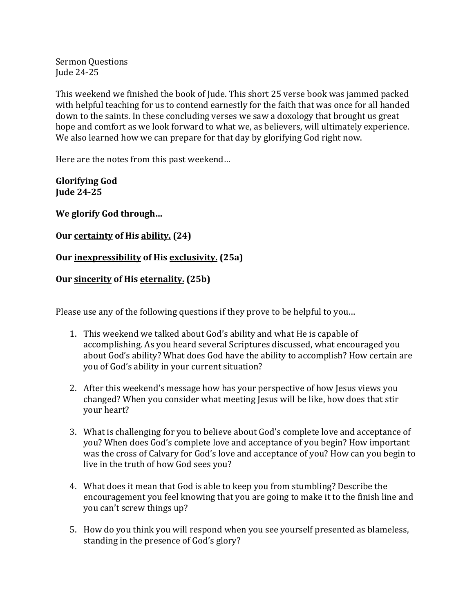**Sermon Questions** Jude 24-25

This weekend we finished the book of Jude. This short 25 verse book was jammed packed with helpful teaching for us to contend earnestly for the faith that was once for all handed down to the saints. In these concluding verses we saw a doxology that brought us great hope and comfort as we look forward to what we, as believers, will ultimately experience. We also learned how we can prepare for that day by glorifying God right now.

Here are the notes from this past weekend...

**Glorifying God Jude 24-25**

We glorify God through...

**Our certainty of His ability. (24)**

## **Our inexpressibility of His exclusivity.** (25a)

## **Our sincerity of His eternality. (25b)**

Please use any of the following questions if they prove to be helpful to you...

- 1. This weekend we talked about God's ability and what He is capable of accomplishing. As you heard several Scriptures discussed, what encouraged you about God's ability? What does God have the ability to accomplish? How certain are you of God's ability in your current situation?
- 2. After this weekend's message how has your perspective of how Jesus views you changed? When you consider what meeting Jesus will be like, how does that stir your heart?
- 3. What is challenging for you to believe about God's complete love and acceptance of you? When does God's complete love and acceptance of you begin? How important was the cross of Calvary for God's love and acceptance of you? How can you begin to live in the truth of how God sees you?
- 4. What does it mean that God is able to keep you from stumbling? Describe the encouragement you feel knowing that you are going to make it to the finish line and you can't screw things up?
- 5. How do you think you will respond when you see yourself presented as blameless, standing in the presence of God's glory?